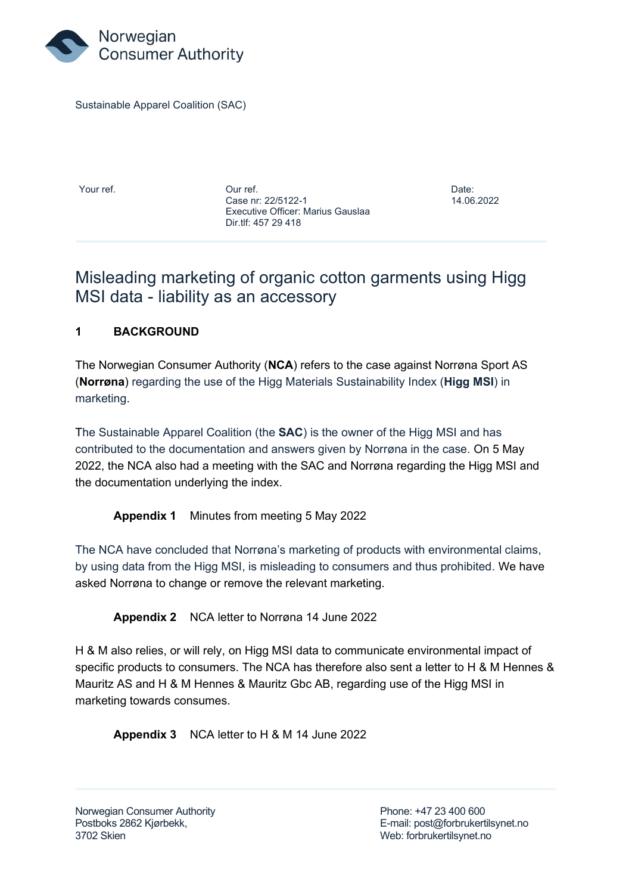

Sustainable Apparel Coalition (SAC)

Your ref. Our ref. Date: Case nr: 22/5122-1 14.06.2022 Executive Officer: Marius Gauslaa Dir.tlf: 457 29 418

## Misleading marketing of organic cotton garments using Higg MSI data - liability as an accessory

## **1 BACKGROUND**

The Norwegian Consumer Authority (**NCA**) refers to the case against Norrøna Sport AS (**Norrøna**) regarding the use of the Higg Materials Sustainability Index (**Higg MSI**) in marketing.

The Sustainable Apparel Coalition (the **SAC**) is the owner of the Higg MSI and has contributed to the documentation and answers given by Norrøna in the case. On 5 May 2022, the NCA also had a meeting with the SAC and Norrøna regarding the Higg MSI and the documentation underlying the index.

**Appendix 1** Minutes from meeting 5 May 2022

The NCA have concluded that Norrøna's marketing of products with environmental claims, by using data from the Higg MSI, is misleading to consumers and thus prohibited. We have asked Norrøna to change or remove the relevant marketing.

**Appendix 2** NCA letter to Norrøna 14 June 2022

H & M also relies, or will rely, on Higg MSI data to communicate environmental impact of specific products to consumers. The NCA has therefore also sent a letter to H & M Hennes & Mauritz AS and H & M Hennes & Mauritz Gbc AB, regarding use of the Higg MSI in marketing towards consumes.

**Appendix 3** NCA letter to H & M 14 June 2022

Norwegian Consumer Authority **Phone: +47 23 400 600** 3702 Skien Web: forbrukertilsynet.no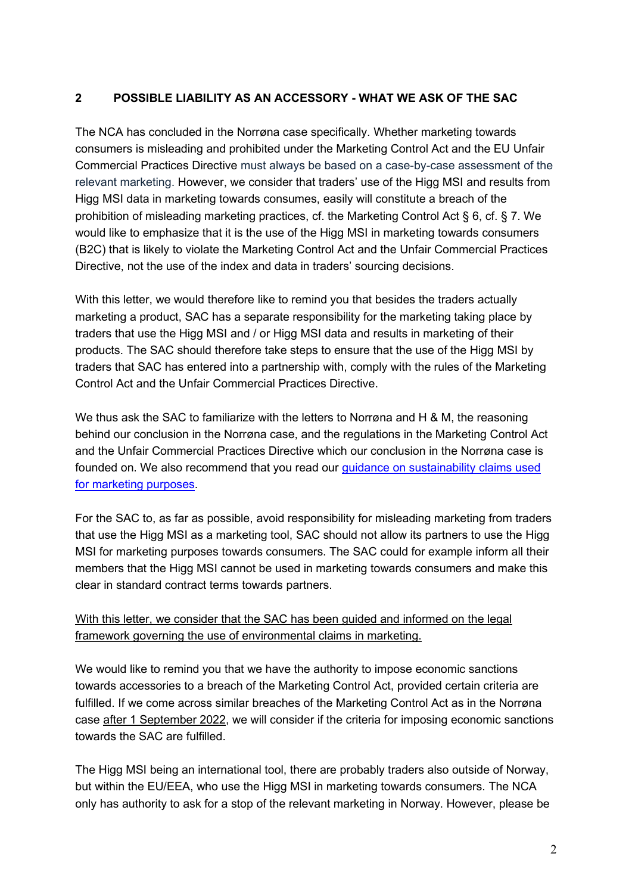## **2 POSSIBLE LIABILITY AS AN ACCESSORY - WHAT WE ASK OF THE SAC**

The NCA has concluded in the Norrøna case specifically. Whether marketing towards consumers is misleading and prohibited under the Marketing Control Act and the EU Unfair Commercial Practices Directive must always be based on a case-by-case assessment of the relevant marketing. However, we consider that traders' use of the Higg MSI and results from Higg MSI data in marketing towards consumes, easily will constitute a breach of the prohibition of misleading marketing practices, cf. the Marketing Control Act § 6, cf. § 7. We would like to emphasize that it is the use of the Higg MSI in marketing towards consumers (B2C) that is likely to violate the Marketing Control Act and the Unfair Commercial Practices Directive, not the use of the index and data in traders' sourcing decisions.

With this letter, we would therefore like to remind you that besides the traders actually marketing a product, SAC has a separate responsibility for the marketing taking place by traders that use the Higg MSI and / or Higg MSI data and results in marketing of their products. The SAC should therefore take steps to ensure that the use of the Higg MSI by traders that SAC has entered into a partnership with, comply with the rules of the Marketing Control Act and the Unfair Commercial Practices Directive.

We thus ask the SAC to familiarize with the letters to Norrøna and H & M, the reasoning behind our conclusion in the Norrøna case, and the regulations in the Marketing Control Act and the Unfair Commercial Practices Directive which our conclusion in the Norrøna case is founded on. We also recommend that you read our [guidance on sustainability claims used](https://www.forbrukertilsynet.no/english/guidelines/the-consumer-authoritys-guidance-on-sustainability-claims-used-for-marketing-purposes)  [for marketing purposes.](https://www.forbrukertilsynet.no/english/guidelines/the-consumer-authoritys-guidance-on-sustainability-claims-used-for-marketing-purposes)

For the SAC to, as far as possible, avoid responsibility for misleading marketing from traders that use the Higg MSI as a marketing tool, SAC should not allow its partners to use the Higg MSI for marketing purposes towards consumers. The SAC could for example inform all their members that the Higg MSI cannot be used in marketing towards consumers and make this clear in standard contract terms towards partners.

## With this letter, we consider that the SAC has been guided and informed on the legal framework governing the use of environmental claims in marketing.

We would like to remind you that we have the authority to impose economic sanctions towards accessories to a breach of the Marketing Control Act, provided certain criteria are fulfilled. If we come across similar breaches of the Marketing Control Act as in the Norrøna case after 1 September 2022, we will consider if the criteria for imposing economic sanctions towards the SAC are fulfilled.

The Higg MSI being an international tool, there are probably traders also outside of Norway, but within the EU/EEA, who use the Higg MSI in marketing towards consumers. The NCA only has authority to ask for a stop of the relevant marketing in Norway. However, please be